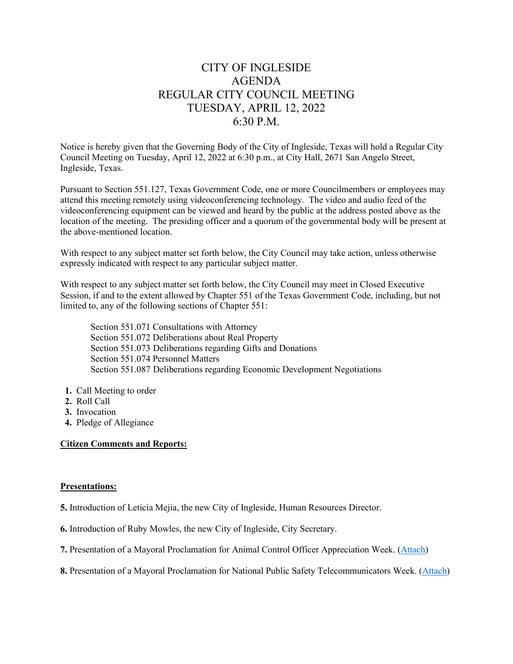# CITY OF INGLESIDE AGENDA REGULAR CITY COUNCIL MEETING TUESDAY, APRIL 12, 2022 6:30 P.M.

Notice is hereby given that the Governing Body of the City of Ingleside, Texas will hold a Regular City Council Meeting on Tuesday, April 12, 2022 at 6:30 p.m., at City Hall, 2671 San Angelo Street, Ingleside, Texas.

Pursuant to Section 551.127, Texas Government Code, one or more Councilmembers or employees may attend this meeting remotely using videoconferencing technology. The video and audio feed of the videoconferencing equipment can be viewed and heard by the public at the address posted above as the location of the meeting. The presiding officer and a quorum of the governmental body will be present at the above-mentioned location.

With respect to any subject matter set forth below, the City Council may take action, unless otherwise expressly indicated with respect to any particular subject matter.

With respect to any subject matter set forth below, the City Council may meet in Closed Executive Session, if and to the extent allowed by Chapter 551 of the Texas Government Code, including, but not limited to, any of the following sections of Chapter 551:

Section 551.071 Consultations with Attorney Section 551.072 Deliberations about Real Property Section 551.073 Deliberations regarding Gifts and Donations Section 551.074 Personnel Matters Section 551.087 Deliberations regarding Economic Development Negotiations

- **1.** Call Meeting to order
- **2.** Roll Call
- **3.** Invocation
- **4.** Pledge of Allegiance

## **Citizen Comments and Reports:**

### **Presentations:**

- **5.** Introduction of Leticia Mejia, the new City of Ingleside, Human Resources Director.
- **6.** Introduction of Ruby Mowles, the new City of Ingleside, City Secretary.
- **7.** Presentation of a Mayoral Proclamation for Animal Control Officer Appreciation Week. [\(Attach\)](/DocumentCenter/View/763/7-AC-Week-PDF)
- **8.** Presentation of a Mayoral Proclamation for National Public Safety Telecommunicators Week. [\(Attach\)](/DocumentCenter/View/764/8-Telecom-Week-PDF)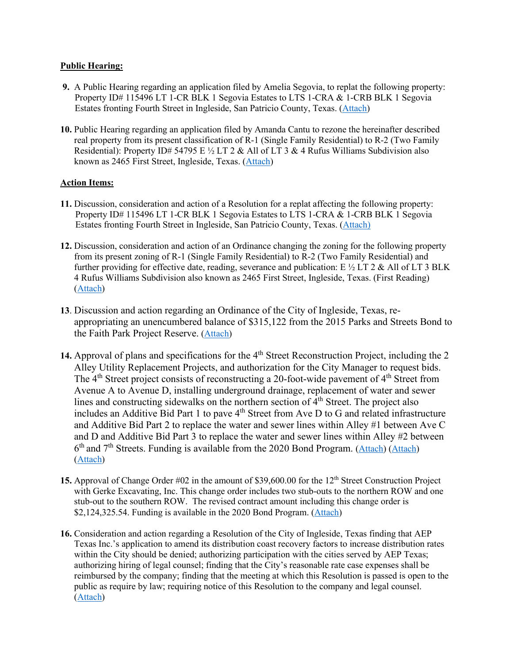## **Public Hearing:**

- **9.** A Public Hearing regarding an application filed by Amelia Segovia, to replat the following property: Property ID# 115496 LT 1-CR BLK 1 Segovia Estates to LTS 1-CRA & 1-CRB BLK 1 Segovia Estates fronting Fourth Street in Ingleside, San Patricio County, Texas. [\(Attach\)](/DocumentCenter/View/765/9-PH-Replat-Segovia-PDF)
- **10.** Public Hearing regarding an application filed by Amanda Cantu to rezone the hereinafter described real property from its present classification of R-1 (Single Family Residential) to R-2 (Two Family Residential): Property ID# 54795 E  $\frac{1}{2}$  LT 2 & All of LT 3 & 4 Rufus Williams Subdivision also known as 2465 First Street, Ingleside, Texas. [\(Attach\)](/DocumentCenter/View/766/10-PH-Rezone-Cantu-PDF)

# **Action Items:**

- **11.** Discussion, consideration and action of a Resolution for a replat affecting the following property: Property ID# 115496 LT 1-CR BLK 1 Segovia Estates to LTS 1-CRA & 1-CRB BLK 1 Segovia Estates fronting Fourth Street in Ingleside, San Patricio County, Texas. [\(Attach\)](/DocumentCenter/View/767/11-Res-2022-08-Segovia-PDF)
- **12.** Discussion, consideration and action of an Ordinance changing the zoning for the following property from its present zoning of R-1 (Single Family Residential) to R-2 (Two Family Residential) and further providing for effective date, reading, severance and publication: E  $\frac{1}{2}$  LT 2 & All of LT 3 BLK 4 Rufus Williams Subdivision also known as 2465 First Street, Ingleside, Texas. (First Reading) [\(Attach\)](/DocumentCenter/View/768/12-Ord-2022-08-Cantu-PDF)
- **13**. Discussion and action regarding an Ordinance of the City of Ingleside, Texas, reappropriating an unencumbered balance of \$315,122 from the 2015 Parks and Streets Bond to the Faith Park Project Reserve. [\(Attach\)](/DocumentCenter/View/769/13-Ord-2022-09-2015-Bond-PDF)
- 14. Approval of plans and specifications for the 4<sup>th</sup> Street Reconstruction Project, including the 2 Alley Utility Replacement Projects, and authorization for the City Manager to request bids. The 4<sup>th</sup> Street project consists of reconstructing a 20-foot-wide pavement of 4<sup>th</sup> Street from Avenue A to Avenue D, installing underground drainage, replacement of water and sewer lines and constructing sidewalks on the northern section of  $4<sup>th</sup>$  Street. The project also includes an Additive Bid Part 1 to pave  $4<sup>th</sup>$  Street from Ave D to G and related infrastructure and Additive Bid Part 2 to replace the water and sewer lines within Alley #1 between Ave C and D and Additive Bid Part 3 to replace the water and sewer lines within Alley #2 between  $6<sup>th</sup>$  and  $7<sup>th</sup>$  Streets. Funding is available from the 2020 Bond Program. [\(Attach\)](/DocumentCenter/View/771/14b-4th-St-Construction-Plans-PDF) (Attach) [\(Attach\)](/DocumentCenter/View/772/14d-4th-Street-Exhibits-PDF)
- 15. Approval of Change Order #02 in the amount of \$39,600.00 for the 12<sup>th</sup> Street Construction Project with Gerke Excavating, Inc. This change order includes two stub-outs to the northern ROW and one stub-out to the southern ROW. The revised contract amount including this change order is \$2,124,325.54. Funding is available in the 2020 Bond Program. [\(Attach\)](/DocumentCenter/View/773/15-12th-St-Change-Order-PDF)
- **16.** Consideration and action regarding a Resolution of the City of Ingleside, Texas finding that AEP Texas Inc.'s application to amend its distribution coast recovery factors to increase distribution rates within the City should be denied; authorizing participation with the cities served by AEP Texas; authorizing hiring of legal counsel; finding that the City's reasonable rate case expenses shall be reimbursed by the company; finding that the meeting at which this Resolution is passed is open to the public as require by law; requiring notice of this Resolution to the company and legal counsel. [\(Attach\)](/DocumentCenter/View/774/16-Ord-2022-09-AEP-PDF)